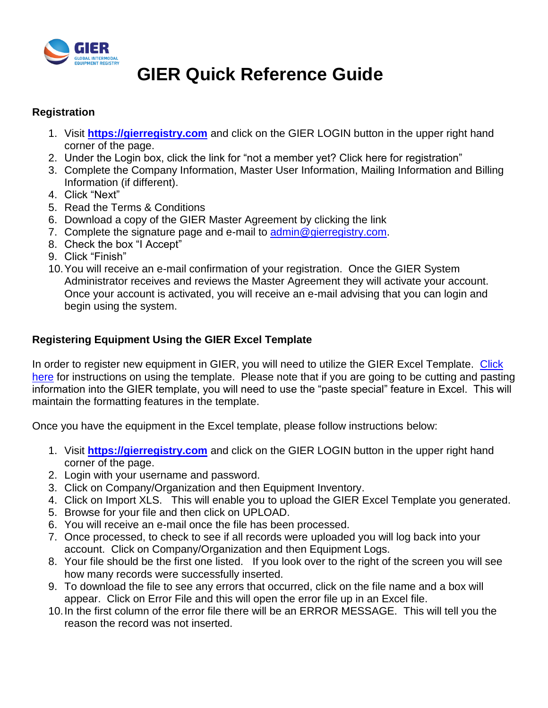

# **GIER Quick Reference Guide**

#### **Registration**

- 1. Visit **[https://gierregistry.com](https://gierregistry.com/)** and click on the GIER LOGIN button in the upper right hand corner of the page.
- 2. Under the Login box, click the link for "not a member yet? Click here for registration"
- 3. Complete the Company Information, Master User Information, Mailing Information and Billing Information (if different).
- 4. Click "Next"
- 5. Read the Terms & Conditions
- 6. Download a copy of the GIER Master Agreement by clicking the link
- 7. Complete the signature page and e-mail to [admin@gierregistry.com.](mailto:admin@gierregistry.com)
- 8. Check the box "I Accept"
- 9. Click "Finish"
- 10.You will receive an e-mail confirmation of your registration. Once the GIER System Administrator receives and reviews the Master Agreement they will activate your account. Once your account is activated, you will receive an e-mail advising that you can login and begin using the system.

### **Registering Equipment Using the GIER Excel Template**

In order to register new equipment in GIER, you will need to utilize the GIER Excel Template. Click [here](../../../../../Stacie/Info%20Svcs%20Help%20Desk/GIER/Copy%20of%20GIER_Excel_Template_Instructions%20rev%2002102015.xls) for instructions on using the template. Please note that if you are going to be cutting and pasting information into the GIER template, you will need to use the "paste special" feature in Excel. This will maintain the formatting features in the template.

Once you have the equipment in the Excel template, please follow instructions below:

- 1. Visit **[https://gierregistry.com](https://gierregistry.com/)** and click on the GIER LOGIN button in the upper right hand corner of the page.
- 2. Login with your username and password.
- 3. Click on Company/Organization and then Equipment Inventory.
- 4. Click on Import XLS. This will enable you to upload the GIER Excel Template you generated.
- 5. Browse for your file and then click on UPLOAD.
- 6. You will receive an e-mail once the file has been processed.
- 7. Once processed, to check to see if all records were uploaded you will log back into your account. Click on Company/Organization and then Equipment Logs.
- 8. Your file should be the first one listed. If you look over to the right of the screen you will see how many records were successfully inserted.
- 9. To download the file to see any errors that occurred, click on the file name and a box will appear. Click on Error File and this will open the error file up in an Excel file.
- 10.In the first column of the error file there will be an ERROR MESSAGE. This will tell you the reason the record was not inserted.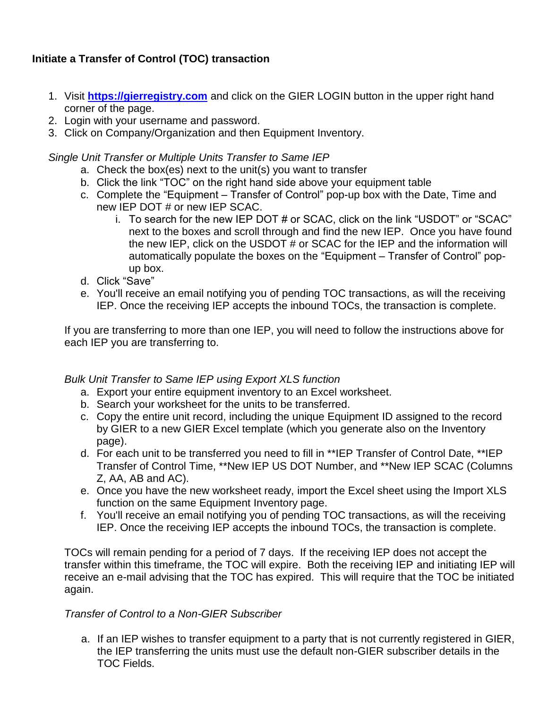## **Initiate a Transfer of Control (TOC) transaction**

- 1. Visit **[https://gierregistry.com](https://gierregistry.com/)** and click on the GIER LOGIN button in the upper right hand corner of the page.
- 2. Login with your username and password.
- 3. Click on Company/Organization and then Equipment Inventory.

*Single Unit Transfer or Multiple Units Transfer to Same IEP*

- a. Check the box(es) next to the unit(s) you want to transfer
- b. Click the link "TOC" on the right hand side above your equipment table
- c. Complete the "Equipment Transfer of Control" pop-up box with the Date, Time and new IEP DOT # or new IEP SCAC.
	- i. To search for the new IEP DOT # or SCAC, click on the link "USDOT" or "SCAC" next to the boxes and scroll through and find the new IEP. Once you have found the new IEP, click on the USDOT # or SCAC for the IEP and the information will automatically populate the boxes on the "Equipment – Transfer of Control" popup box.
- d. Click "Save"
- e. You'll receive an email notifying you of pending TOC transactions, as will the receiving IEP. Once the receiving IEP accepts the inbound TOCs, the transaction is complete.

If you are transferring to more than one IEP, you will need to follow the instructions above for each IEP you are transferring to.

*Bulk Unit Transfer to Same IEP using Export XLS function*

- a. Export your entire equipment inventory to an Excel worksheet.
- b. Search your worksheet for the units to be transferred.
- c. Copy the entire unit record, including the unique Equipment ID assigned to the record by GIER to a new GIER Excel template (which you generate also on the Inventory page).
- d. For each unit to be transferred you need to fill in \*\*IEP Transfer of Control Date, \*\*IEP Transfer of Control Time, \*\*New IEP US DOT Number, and \*\*New IEP SCAC (Columns Z, AA, AB and AC).
- e. Once you have the new worksheet ready, import the Excel sheet using the Import XLS function on the same Equipment Inventory page.
- f. You'll receive an email notifying you of pending TOC transactions, as will the receiving IEP. Once the receiving IEP accepts the inbound TOCs, the transaction is complete.

TOCs will remain pending for a period of 7 days. If the receiving IEP does not accept the transfer within this timeframe, the TOC will expire. Both the receiving IEP and initiating IEP will receive an e-mail advising that the TOC has expired. This will require that the TOC be initiated again.

#### *Transfer of Control to a Non-GIER Subscriber*

a. If an IEP wishes to transfer equipment to a party that is not currently registered in GIER, the IEP transferring the units must use the default non-GIER subscriber details in the TOC Fields.